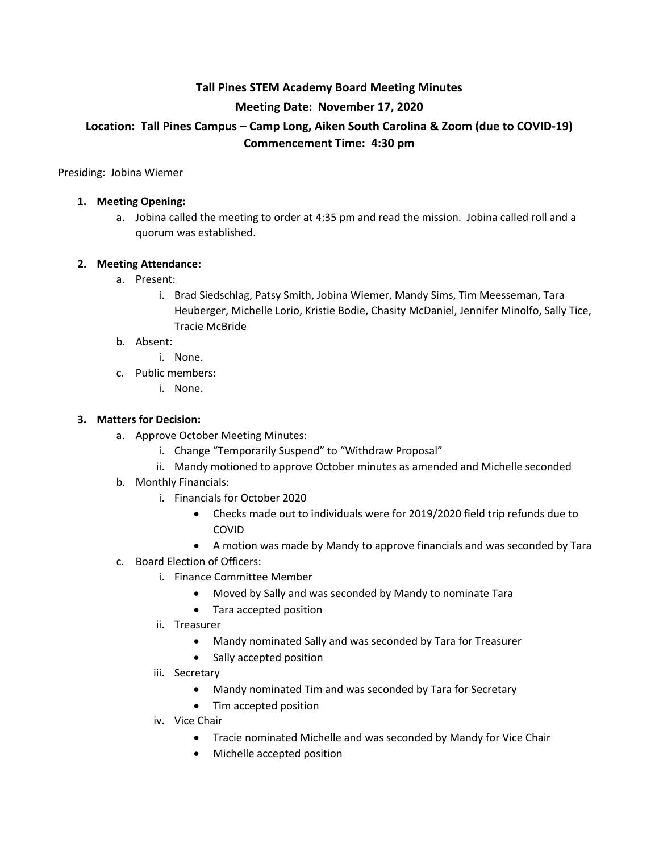# **Tall Pines STEM Academy Board Meeting Minutes Meeting Date: November 17, 2020 Location: Tall Pines Campus – Camp Long, Aiken South Carolina & Zoom (due to COVID-19) Commencement Time: 4:30 pm**

Presiding: Jobina Wiemer

#### **1. Meeting Opening:**

a. Jobina called the meeting to order at 4:35 pm and read the mission. Jobina called roll and a quorum was established.

#### **2. Meeting Attendance:**

- a. Present:
	- i. Brad Siedschlag, Patsy Smith, Jobina Wiemer, Mandy Sims, Tim Meesseman, Tara Heuberger, Michelle Lorio, Kristie Bodie, Chasity McDaniel, Jennifer Minolfo, Sally Tice, Tracie McBride

#### b. Absent:

- i. None.
- c. Public members:
	- i. None.

#### **3. Matters for Decision:**

- a. Approve October Meeting Minutes:
	- i. Change "Temporarily Suspend" to "Withdraw Proposal"
	- ii. Mandy motioned to approve October minutes as amended and Michelle seconded
- b. Monthly Financials:
	- i. Financials for October 2020
		- Checks made out to individuals were for 2019/2020 field trip refunds due to COVID
		- A motion was made by Mandy to approve financials and was seconded by Tara
- c. Board Election of Officers:
	- i. Finance Committee Member
		- Moved by Sally and was seconded by Mandy to nominate Tara
		- Tara accepted position
	- ii. Treasurer
		- Mandy nominated Sally and was seconded by Tara for Treasurer
		- Sally accepted position
	- iii. Secretary
		- Mandy nominated Tim and was seconded by Tara for Secretary
		- Tim accepted position
	- iv. Vice Chair
		- Tracie nominated Michelle and was seconded by Mandy for Vice Chair
		- Michelle accepted position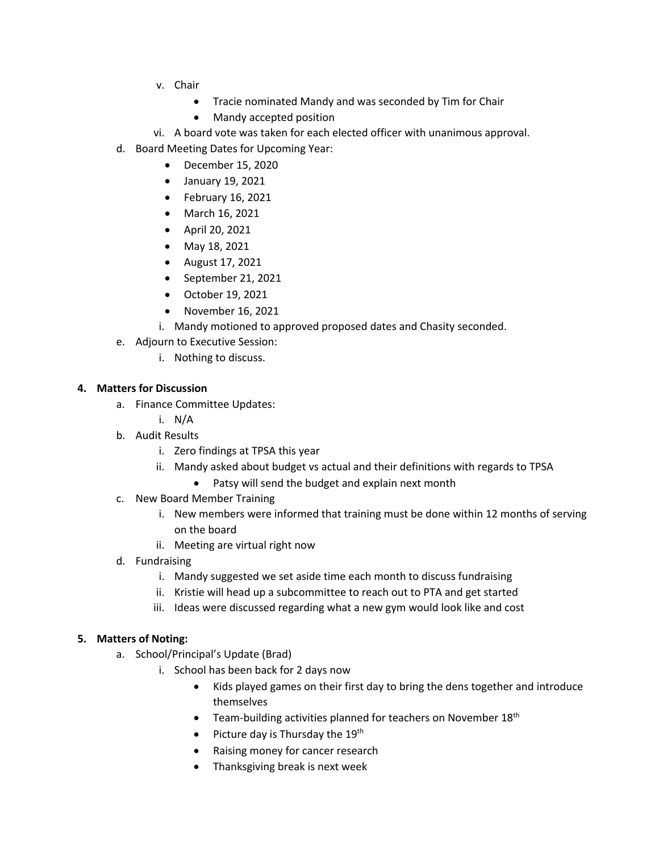- v. Chair
	- Tracie nominated Mandy and was seconded by Tim for Chair
	- Mandy accepted position
- vi. A board vote was taken for each elected officer with unanimous approval.
- d. Board Meeting Dates for Upcoming Year:
	- December 15, 2020
	- January 19, 2021
	- February 16, 2021
	- March 16, 2021
	- April 20, 2021
	- May 18, 2021
	- August 17, 2021
	- September 21, 2021
	- October 19, 2021
	- November 16, 2021
	- i. Mandy motioned to approved proposed dates and Chasity seconded.
- e. Adjourn to Executive Session:
	- i. Nothing to discuss.

### **4. Matters for Discussion**

- a. Finance Committee Updates:
	- i. N/A
- b. Audit Results
	- i. Zero findings at TPSA this year
	- ii. Mandy asked about budget vs actual and their definitions with regards to TPSA
		- Patsy will send the budget and explain next month
- c. New Board Member Training
	- i. New members were informed that training must be done within 12 months of serving on the board
	- ii. Meeting are virtual right now
- d. Fundraising
	- i. Mandy suggested we set aside time each month to discuss fundraising
	- ii. Kristie will head up a subcommittee to reach out to PTA and get started
	- iii. Ideas were discussed regarding what a new gym would look like and cost

## **5. Matters of Noting:**

- a. School/Principal's Update (Brad)
	- i. School has been back for 2 days now
		- Kids played games on their first day to bring the dens together and introduce themselves
		- Team-building activities planned for teachers on November 18<sup>th</sup>
		- Picture day is Thursday the  $19<sup>th</sup>$
		- Raising money for cancer research
		- Thanksgiving break is next week